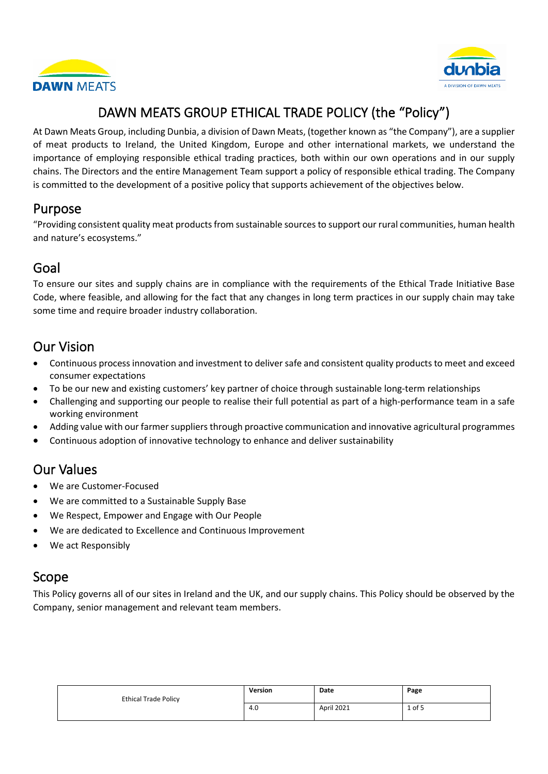



## DAWN MEATS GROUP ETHICAL TRADE POLICY (the "Policy")

At Dawn Meats Group, including Dunbia, a division of Dawn Meats, (together known as "the Company"), are a supplier of meat products to Ireland, the United Kingdom, Europe and other international markets, we understand the importance of employing responsible ethical trading practices, both within our own operations and in our supply chains. The Directors and the entire Management Team support a policy of responsible ethical trading. The Company is committed to the development of a positive policy that supports achievement of the objectives below.

#### Purpose

"Providing consistent quality meat products from sustainable sources to support our rural communities, human health and nature's ecosystems."

#### Goal

To ensure our sites and supply chains are in compliance with the requirements of the Ethical Trade Initiative Base Code, where feasible, and allowing for the fact that any changes in long term practices in our supply chain may take some time and require broader industry collaboration.

## Our Vision

- Continuous process innovation and investment to deliver safe and consistent quality products to meet and exceed consumer expectations
- To be our new and existing customers' key partner of choice through sustainable long-term relationships
- Challenging and supporting our people to realise their full potential as part of a high-performance team in a safe working environment
- Adding value with our farmer suppliers through proactive communication and innovative agricultural programmes
- Continuous adoption of innovative technology to enhance and deliver sustainability

## Our Values

- We are Customer-Focused
- We are committed to a Sustainable Supply Base
- We Respect, Empower and Engage with Our People
- We are dedicated to Excellence and Continuous Improvement
- We act Responsibly

## Scope

This Policy governs all of our sites in Ireland and the UK, and our supply chains. This Policy should be observed by the Company, senior management and relevant team members.

| <b>Ethical Trade Policy</b> | Version | Date       | Page     |
|-----------------------------|---------|------------|----------|
|                             | 4.0     | April 2021 | $1$ of 5 |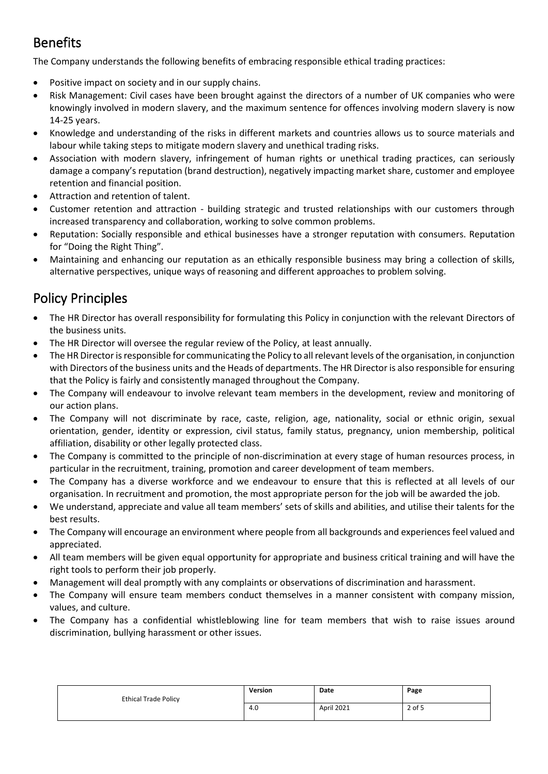## Benefits

The Company understands the following benefits of embracing responsible ethical trading practices:

- Positive impact on society and in our supply chains.
- Risk Management: Civil cases have been brought against the directors of a number of UK companies who were knowingly involved in modern slavery, and the maximum sentence for offences involving modern slavery is now 14-25 years.
- Knowledge and understanding of the risks in different markets and countries allows us to source materials and labour while taking steps to mitigate modern slavery and unethical trading risks.
- Association with modern slavery, infringement of human rights or unethical trading practices, can seriously damage a company's reputation (brand destruction), negatively impacting market share, customer and employee retention and financial position.
- Attraction and retention of talent.
- Customer retention and attraction building strategic and trusted relationships with our customers through increased transparency and collaboration, working to solve common problems.
- Reputation: Socially responsible and ethical businesses have a stronger reputation with consumers. Reputation for "Doing the Right Thing".
- Maintaining and enhancing our reputation as an ethically responsible business may bring a collection of skills, alternative perspectives, unique ways of reasoning and different approaches to problem solving.

## Policy Principles

- The HR Director has overall responsibility for formulating this Policy in conjunction with the relevant Directors of the business units.
- The HR Director will oversee the regular review of the Policy, at least annually.
- The HR Director is responsible for communicating the Policy to all relevant levels of the organisation, in conjunction with Directors of the business units and the Heads of departments. The HR Director is also responsible for ensuring that the Policy is fairly and consistently managed throughout the Company.
- The Company will endeavour to involve relevant team members in the development, review and monitoring of our action plans.
- The Company will not discriminate by race, caste, religion, age, nationality, social or ethnic origin, sexual orientation, gender, identity or expression, civil status, family status, pregnancy, union membership, political affiliation, disability or other legally protected class.
- The Company is committed to the principle of non-discrimination at every stage of human resources process, in particular in the recruitment, training, promotion and career development of team members.
- The Company has a diverse workforce and we endeavour to ensure that this is reflected at all levels of our organisation. In recruitment and promotion, the most appropriate person for the job will be awarded the job.
- We understand, appreciate and value all team members' sets of skills and abilities, and utilise their talents for the best results.
- The Company will encourage an environment where people from all backgrounds and experiences feel valued and appreciated.
- All team members will be given equal opportunity for appropriate and business critical training and will have the right tools to perform their job properly.
- Management will deal promptly with any complaints or observations of discrimination and harassment.
- The Company will ensure team members conduct themselves in a manner consistent with company mission, values, and culture.
- The Company has a confidential whistleblowing line for team members that wish to raise issues around discrimination, bullying harassment or other issues.

| <b>Ethical Trade Policy</b> | Version | Date       | Page   |
|-----------------------------|---------|------------|--------|
|                             | 4.0     | April 2021 | 2 of 5 |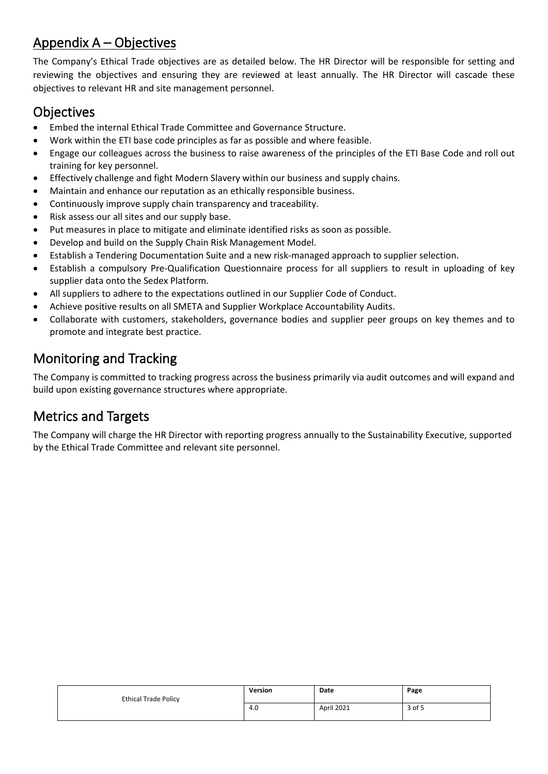## Appendix A – Objectives

The Company's Ethical Trade objectives are as detailed below. The HR Director will be responsible for setting and reviewing the objectives and ensuring they are reviewed at least annually. The HR Director will cascade these objectives to relevant HR and site management personnel.

#### **Objectives**

- Embed the internal Ethical Trade Committee and Governance Structure.
- Work within the ETI base code principles as far as possible and where feasible.
- Engage our colleagues across the business to raise awareness of the principles of the ETI Base Code and roll out training for key personnel.
- Effectively challenge and fight Modern Slavery within our business and supply chains.
- Maintain and enhance our reputation as an ethically responsible business.
- Continuously improve supply chain transparency and traceability.
- Risk assess our all sites and our supply base.
- Put measures in place to mitigate and eliminate identified risks as soon as possible.
- Develop and build on the Supply Chain Risk Management Model.
- Establish a Tendering Documentation Suite and a new risk-managed approach to supplier selection.
- Establish a compulsory Pre-Qualification Questionnaire process for all suppliers to result in uploading of key supplier data onto the Sedex Platform.
- All suppliers to adhere to the expectations outlined in our Supplier Code of Conduct.
- Achieve positive results on all SMETA and Supplier Workplace Accountability Audits.
- Collaborate with customers, stakeholders, governance bodies and supplier peer groups on key themes and to promote and integrate best practice.

## Monitoring and Tracking

The Company is committed to tracking progress across the business primarily via audit outcomes and will expand and build upon existing governance structures where appropriate.

## Metrics and Targets

The Company will charge the HR Director with reporting progress annually to the Sustainability Executive, supported by the Ethical Trade Committee and relevant site personnel.

| <b>Ethical Trade Policy</b> | Version | Date       | Page   |
|-----------------------------|---------|------------|--------|
|                             | 4.0     | April 2021 | 3 of 5 |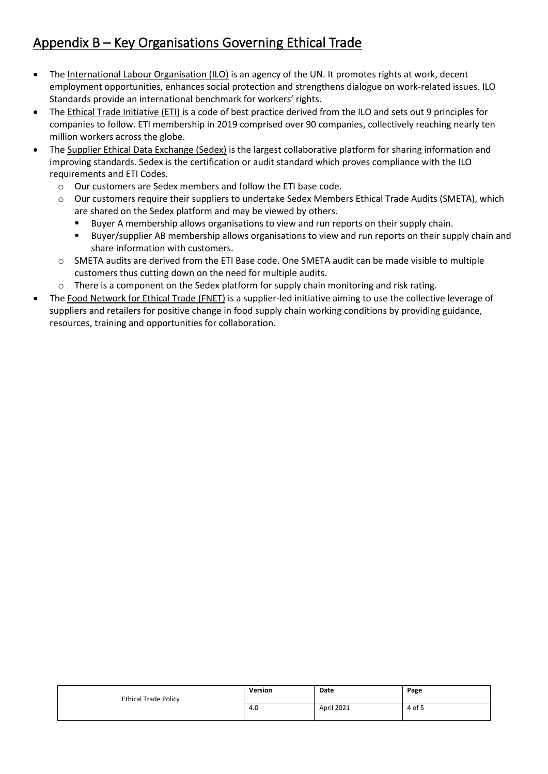## Appendix B – Key Organisations Governing Ethical Trade

- The International [Labour Organisation \(](https://www.ilo.org/global/about-the-ilo/lang--en/index.htm)ILO) is an agency of the UN. It promotes rights at work, decent employment opportunities, enhances social protection and strengthens dialogue on work-related issues. ILO Standards provide an international benchmark for workers' rights.
- The [Ethical Trade Initiative \(](https://www.ethicaltrade.org/)ETI) is a code of best practice derived from the ILO and sets out 9 principles for companies to follow. ETI membership in 2019 comprised over 90 companies, collectively reaching nearly ten million workers across the globe.
- The [Supplier Ethical Data Exchange \(](https://www.sedex.com/about-us/)Sedex) is the largest collaborative platform for sharing information and improving standards. Sedex is the certification or audit standard which proves compliance with the ILO requirements and ETI Codes.
	- o Our customers are Sedex members and follow the ETI base code.
	- o Our customers require their suppliers to undertake Sedex Members Ethical Trade Audits (SMETA), which are shared on the Sedex platform and may be viewed by others.
		- **Buyer A membership allows organisations to view and run reports on their supply chain.**
		- Buyer/supplier AB membership allows organisations to view and run reports on their supply chain and share information with customers.
	- o SMETA audits are derived from the ETI Base code. One SMETA audit can be made visible to multiple customers thus cutting down on the need for multiple audits.
	- $\circ$  There is a component on the Sedex platform for supply chain monitoring and risk rating.
- The [Food Network for Ethical Trade \(](https://foodnetworkforethicaltrade.com/)FNET) is a supplier-led initiative aiming to use the collective leverage of suppliers and retailers for positive change in food supply chain working conditions by providing guidance, resources, training and opportunities for collaboration.

| <b>Ethical Trade Policy</b> | Version | Date       | Page   |
|-----------------------------|---------|------------|--------|
|                             | 4.0     | April 2021 | 4 of 5 |